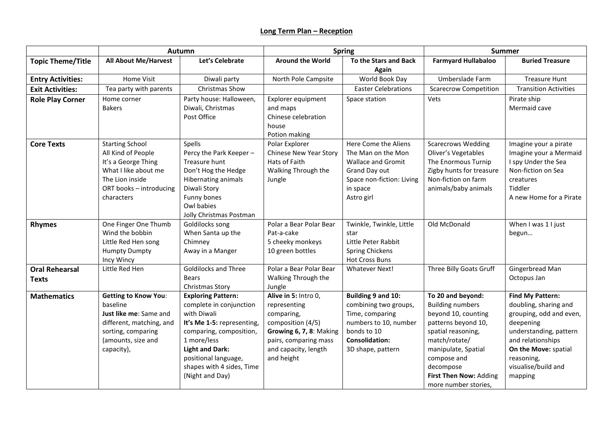## **Long Term Plan – Reception**

|                                       | Autumn                                                                                                                                                  |                                                                                                                                                                                                                                               | <b>Spring</b>                                                                                                                                                     |                                                                                                                                                      | Summer                                                                                                                                                                                                                                 |                                                                                                                                                                                                                 |
|---------------------------------------|---------------------------------------------------------------------------------------------------------------------------------------------------------|-----------------------------------------------------------------------------------------------------------------------------------------------------------------------------------------------------------------------------------------------|-------------------------------------------------------------------------------------------------------------------------------------------------------------------|------------------------------------------------------------------------------------------------------------------------------------------------------|----------------------------------------------------------------------------------------------------------------------------------------------------------------------------------------------------------------------------------------|-----------------------------------------------------------------------------------------------------------------------------------------------------------------------------------------------------------------|
| <b>Topic Theme/Title</b>              | <b>All About Me/Harvest</b>                                                                                                                             | Let's Celebrate                                                                                                                                                                                                                               | <b>Around the World</b>                                                                                                                                           | To the Stars and Back<br><b>Again</b>                                                                                                                | <b>Farmyard Hullabaloo</b>                                                                                                                                                                                                             | <b>Buried Treasure</b>                                                                                                                                                                                          |
| <b>Entry Activities:</b>              | Home Visit                                                                                                                                              | Diwali party                                                                                                                                                                                                                                  | North Pole Campsite                                                                                                                                               | World Book Day                                                                                                                                       | Umberslade Farm                                                                                                                                                                                                                        | <b>Treasure Hunt</b>                                                                                                                                                                                            |
| <b>Exit Activities:</b>               | Tea party with parents                                                                                                                                  | Christmas Show                                                                                                                                                                                                                                |                                                                                                                                                                   | <b>Easter Celebrations</b>                                                                                                                           | <b>Scarecrow Competition</b>                                                                                                                                                                                                           | <b>Transition Activities</b>                                                                                                                                                                                    |
| <b>Role Play Corner</b>               | Home corner<br><b>Bakers</b>                                                                                                                            | Party house: Halloween,<br>Diwali, Christmas<br>Post Office                                                                                                                                                                                   | Explorer equipment<br>and maps<br>Chinese celebration<br>house<br>Potion making                                                                                   | Space station                                                                                                                                        | Vets                                                                                                                                                                                                                                   | Pirate ship<br>Mermaid cave                                                                                                                                                                                     |
| <b>Core Texts</b>                     | <b>Starting School</b><br>All Kind of People<br>It's a George Thing<br>What I like about me<br>The Lion inside<br>ORT books - introducing<br>characters | Spells<br>Percy the Park Keeper-<br>Treasure hunt<br>Don't Hog the Hedge<br><b>Hibernating animals</b><br>Diwali Story<br>Funny bones<br>Owl babies<br>Jolly Christmas Postman                                                                | Polar Explorer<br><b>Chinese New Year Story</b><br>Hats of Faith<br>Walking Through the<br>Jungle                                                                 | Here Come the Aliens<br>The Man on the Mon<br>Wallace and Gromit<br>Grand Day out<br>Space non-fiction: Living<br>in space<br>Astro girl             | <b>Scarecrows Wedding</b><br>Oliver's Vegetables<br>The Enormous Turnip<br>Zigby hunts for treasure<br>Non-fiction on farm<br>animals/baby animals                                                                                     | Imagine your a pirate<br>Imagine your a Mermaid<br>I spy Under the Sea<br>Non-fiction on Sea<br>creatures<br>Tiddler<br>A new Home for a Pirate                                                                 |
| <b>Rhymes</b>                         | One Finger One Thumb<br>Wind the bobbin<br>Little Red Hen song<br><b>Humpty Dumpty</b><br>Incy Wincy                                                    | Goldilocks song<br>When Santa up the<br>Chimney<br>Away in a Manger                                                                                                                                                                           | Polar a Bear Polar Bear<br>Pat-a-cake<br>5 cheeky monkeys<br>10 green bottles                                                                                     | Twinkle, Twinkle, Little<br>star<br>Little Peter Rabbit<br><b>Spring Chickens</b><br><b>Hot Cross Buns</b>                                           | Old McDonald                                                                                                                                                                                                                           | When I was 1 I just<br>begun                                                                                                                                                                                    |
| <b>Oral Rehearsal</b><br><b>Texts</b> | Little Red Hen                                                                                                                                          | <b>Goldilocks and Three</b><br><b>Bears</b><br>Christmas Story                                                                                                                                                                                | Polar a Bear Polar Bear<br>Walking Through the<br>Jungle                                                                                                          | <b>Whatever Next!</b>                                                                                                                                | Three Billy Goats Gruff                                                                                                                                                                                                                | Gingerbread Man<br>Octopus Jan                                                                                                                                                                                  |
| <b>Mathematics</b>                    | <b>Getting to Know You:</b><br>baseline<br>Just like me: Same and<br>different, matching, and<br>sorting, comparing<br>(amounts, size and<br>capacity), | <b>Exploring Pattern:</b><br>complete in conjunction<br>with Diwali<br>It's Me 1-5: representing,<br>comparing, composition,<br>1 more/less<br><b>Light and Dark:</b><br>positional language,<br>shapes with 4 sides, Time<br>(Night and Day) | Alive in 5: Intro 0,<br>representing<br>comparing,<br>composition (4/5)<br>Growing 6, 7, 8: Making<br>pairs, comparing mass<br>and capacity, length<br>and height | Building 9 and 10:<br>combining two groups,<br>Time, comparing<br>numbers to 10, number<br>bonds to 10<br><b>Consolidation:</b><br>3D shape, pattern | To 20 and beyond:<br><b>Building numbers</b><br>beyond 10, counting<br>patterns beyond 10,<br>spatial reasoning,<br>match/rotate/<br>manipulate, Spatial<br>compose and<br>decompose<br>First Then Now: Adding<br>more number stories, | <b>Find My Pattern:</b><br>doubling, sharing and<br>grouping, odd and even,<br>deepening<br>understanding, pattern<br>and relationships<br>On the Move: spatial<br>reasoning,<br>visualise/build and<br>mapping |